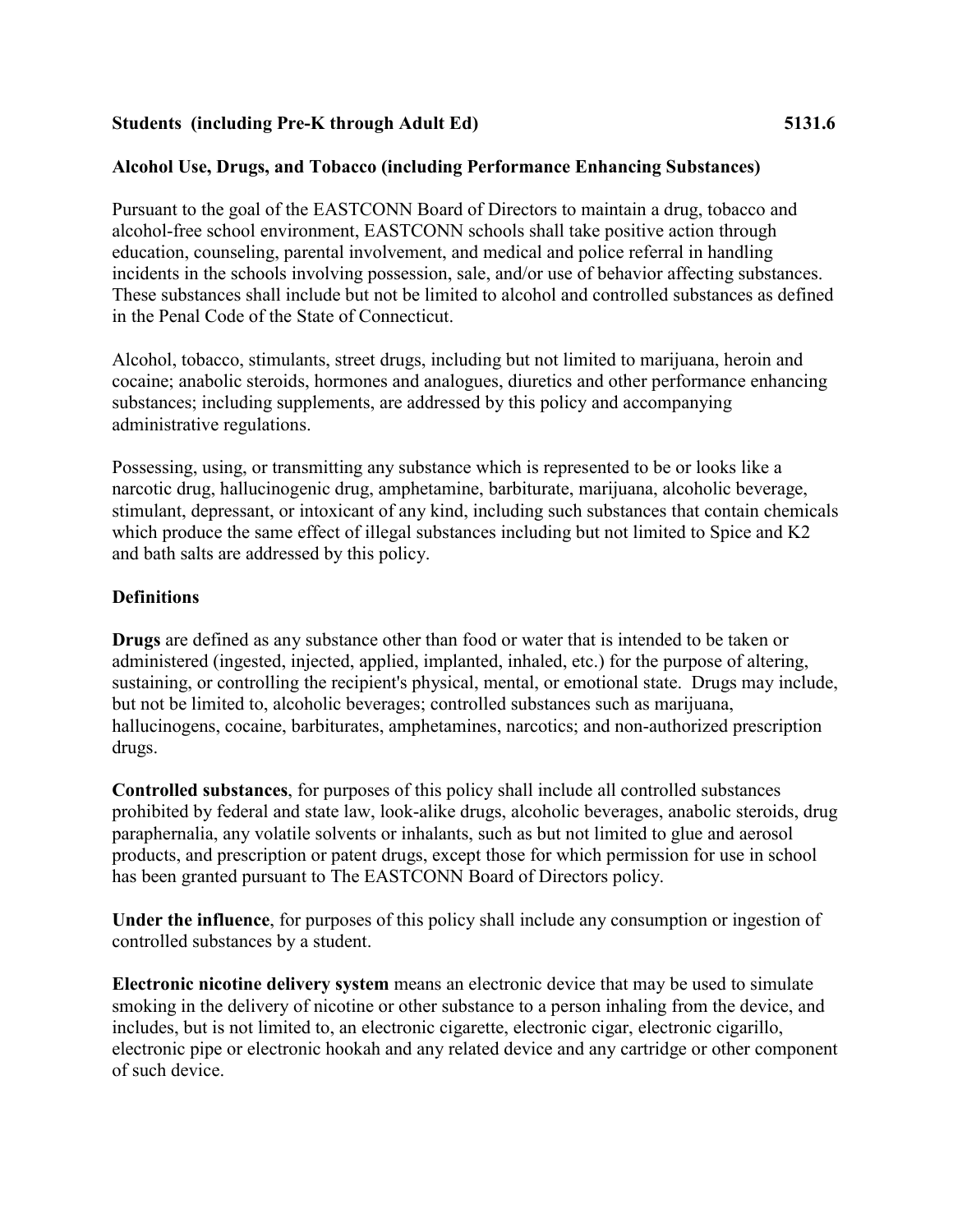### **Students (including Pre-K through Adult Ed) 5131.6**

## **Alcohol Use, Drugs, and Tobacco (including Performance Enhancing Substances)**

Pursuant to the goal of the EASTCONN Board of Directors to maintain a drug, tobacco and alcohol-free school environment, EASTCONN schools shall take positive action through education, counseling, parental involvement, and medical and police referral in handling incidents in the schools involving possession, sale, and/or use of behavior affecting substances. These substances shall include but not be limited to alcohol and controlled substances as defined in the Penal Code of the State of Connecticut.

Alcohol, tobacco, stimulants, street drugs, including but not limited to marijuana, heroin and cocaine; anabolic steroids, hormones and analogues, diuretics and other performance enhancing substances; including supplements, are addressed by this policy and accompanying administrative regulations.

Possessing, using, or transmitting any substance which is represented to be or looks like a narcotic drug, hallucinogenic drug, amphetamine, barbiturate, marijuana, alcoholic beverage, stimulant, depressant, or intoxicant of any kind, including such substances that contain chemicals which produce the same effect of illegal substances including but not limited to Spice and K2 and bath salts are addressed by this policy.

#### **Definitions**

**Drugs** are defined as any substance other than food or water that is intended to be taken or administered (ingested, injected, applied, implanted, inhaled, etc.) for the purpose of altering, sustaining, or controlling the recipient's physical, mental, or emotional state. Drugs may include, but not be limited to, alcoholic beverages; controlled substances such as marijuana, hallucinogens, cocaine, barbiturates, amphetamines, narcotics; and non-authorized prescription drugs.

**Controlled substances**, for purposes of this policy shall include all controlled substances prohibited by federal and state law, look-alike drugs, alcoholic beverages, anabolic steroids, drug paraphernalia, any volatile solvents or inhalants, such as but not limited to glue and aerosol products, and prescription or patent drugs, except those for which permission for use in school has been granted pursuant to The EASTCONN Board of Directors policy.

**Under the influence**, for purposes of this policy shall include any consumption or ingestion of controlled substances by a student.

**Electronic nicotine delivery system** means an electronic device that may be used to simulate smoking in the delivery of nicotine or other substance to a person inhaling from the device, and includes, but is not limited to, an electronic cigarette, electronic cigar, electronic cigarillo, electronic pipe or electronic hookah and any related device and any cartridge or other component of such device.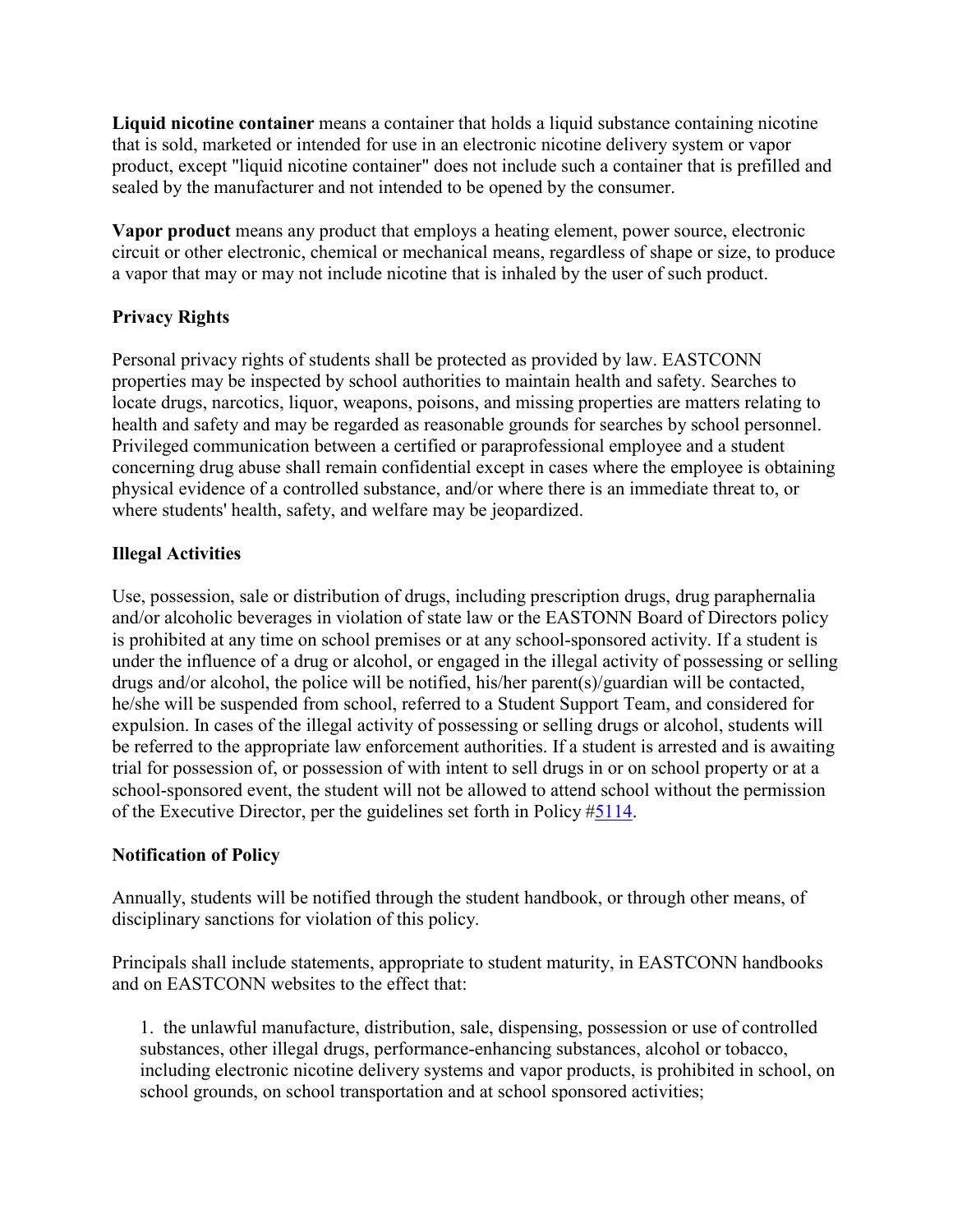**Liquid nicotine container** means a container that holds a liquid substance containing nicotine that is sold, marketed or intended for use in an electronic nicotine delivery system or vapor product, except "liquid nicotine container" does not include such a container that is prefilled and sealed by the manufacturer and not intended to be opened by the consumer.

**Vapor product** means any product that employs a heating element, power source, electronic circuit or other electronic, chemical or mechanical means, regardless of shape or size, to produce a vapor that may or may not include nicotine that is inhaled by the user of such product.

# **Privacy Rights**

Personal privacy rights of students shall be protected as provided by law. EASTCONN properties may be inspected by school authorities to maintain health and safety. Searches to locate drugs, narcotics, liquor, weapons, poisons, and missing properties are matters relating to health and safety and may be regarded as reasonable grounds for searches by school personnel. Privileged communication between a certified or paraprofessional employee and a student concerning drug abuse shall remain confidential except in cases where the employee is obtaining physical evidence of a controlled substance, and/or where there is an immediate threat to, or where students' health, safety, and welfare may be jeopardized.

## **Illegal Activities**

Use, possession, sale or distribution of drugs, including prescription drugs, drug paraphernalia and/or alcoholic beverages in violation of state law or the EASTONN Board of Directors policy is prohibited at any time on school premises or at any school-sponsored activity. If a student is under the influence of a drug or alcohol, or engaged in the illegal activity of possessing or selling drugs and/or alcohol, the police will be notified, his/her parent(s)/guardian will be contacted, he/she will be suspended from school, referred to a Student Support Team, and considered for expulsion. In cases of the illegal activity of possessing or selling drugs or alcohol, students will be referred to the appropriate law enforcement authorities. If a student is arrested and is awaiting trial for possession of, or possession of with intent to sell drugs in or on school property or at a school-sponsored event, the student will not be allowed to attend school without the permission of the Executive Director, per the guidelines set forth in Policy [#5114.](http://z2policy.cabe.org/cabe/DocViewer.jsp?docid=235&z2collection=core#JD_5114)

## **Notification of Policy**

Annually, students will be notified through the student handbook, or through other means, of disciplinary sanctions for violation of this policy.

Principals shall include statements, appropriate to student maturity, in EASTCONN handbooks and on EASTCONN websites to the effect that:

1. the unlawful manufacture, distribution, sale, dispensing, possession or use of controlled substances, other illegal drugs, performance-enhancing substances, alcohol or tobacco, including electronic nicotine delivery systems and vapor products, is prohibited in school, on school grounds, on school transportation and at school sponsored activities;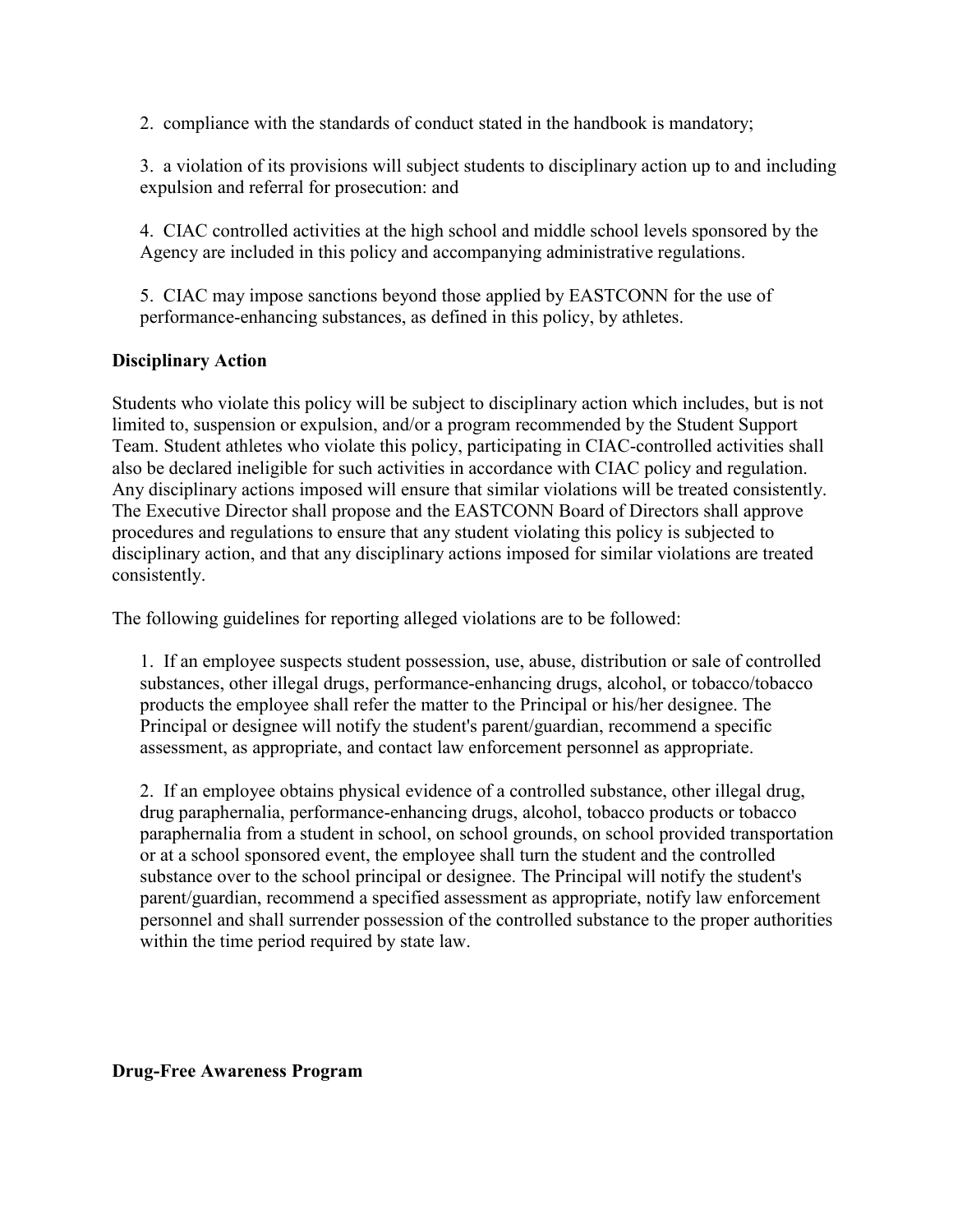2. compliance with the standards of conduct stated in the handbook is mandatory;

3. a violation of its provisions will subject students to disciplinary action up to and including expulsion and referral for prosecution: and

4. CIAC controlled activities at the high school and middle school levels sponsored by the Agency are included in this policy and accompanying administrative regulations.

5. CIAC may impose sanctions beyond those applied by EASTCONN for the use of performance-enhancing substances, as defined in this policy, by athletes.

#### **Disciplinary Action**

Students who violate this policy will be subject to disciplinary action which includes, but is not limited to, suspension or expulsion, and/or a program recommended by the Student Support Team. Student athletes who violate this policy, participating in CIAC-controlled activities shall also be declared ineligible for such activities in accordance with CIAC policy and regulation. Any disciplinary actions imposed will ensure that similar violations will be treated consistently. The Executive Director shall propose and the EASTCONN Board of Directors shall approve procedures and regulations to ensure that any student violating this policy is subjected to disciplinary action, and that any disciplinary actions imposed for similar violations are treated consistently.

The following guidelines for reporting alleged violations are to be followed:

1. If an employee suspects student possession, use, abuse, distribution or sale of controlled substances, other illegal drugs, performance-enhancing drugs, alcohol, or tobacco/tobacco products the employee shall refer the matter to the Principal or his/her designee. The Principal or designee will notify the student's parent/guardian, recommend a specific assessment, as appropriate, and contact law enforcement personnel as appropriate.

2. If an employee obtains physical evidence of a controlled substance, other illegal drug, drug paraphernalia, performance-enhancing drugs, alcohol, tobacco products or tobacco paraphernalia from a student in school, on school grounds, on school provided transportation or at a school sponsored event, the employee shall turn the student and the controlled substance over to the school principal or designee. The Principal will notify the student's parent/guardian, recommend a specified assessment as appropriate, notify law enforcement personnel and shall surrender possession of the controlled substance to the proper authorities within the time period required by state law.

**Drug-Free Awareness Program**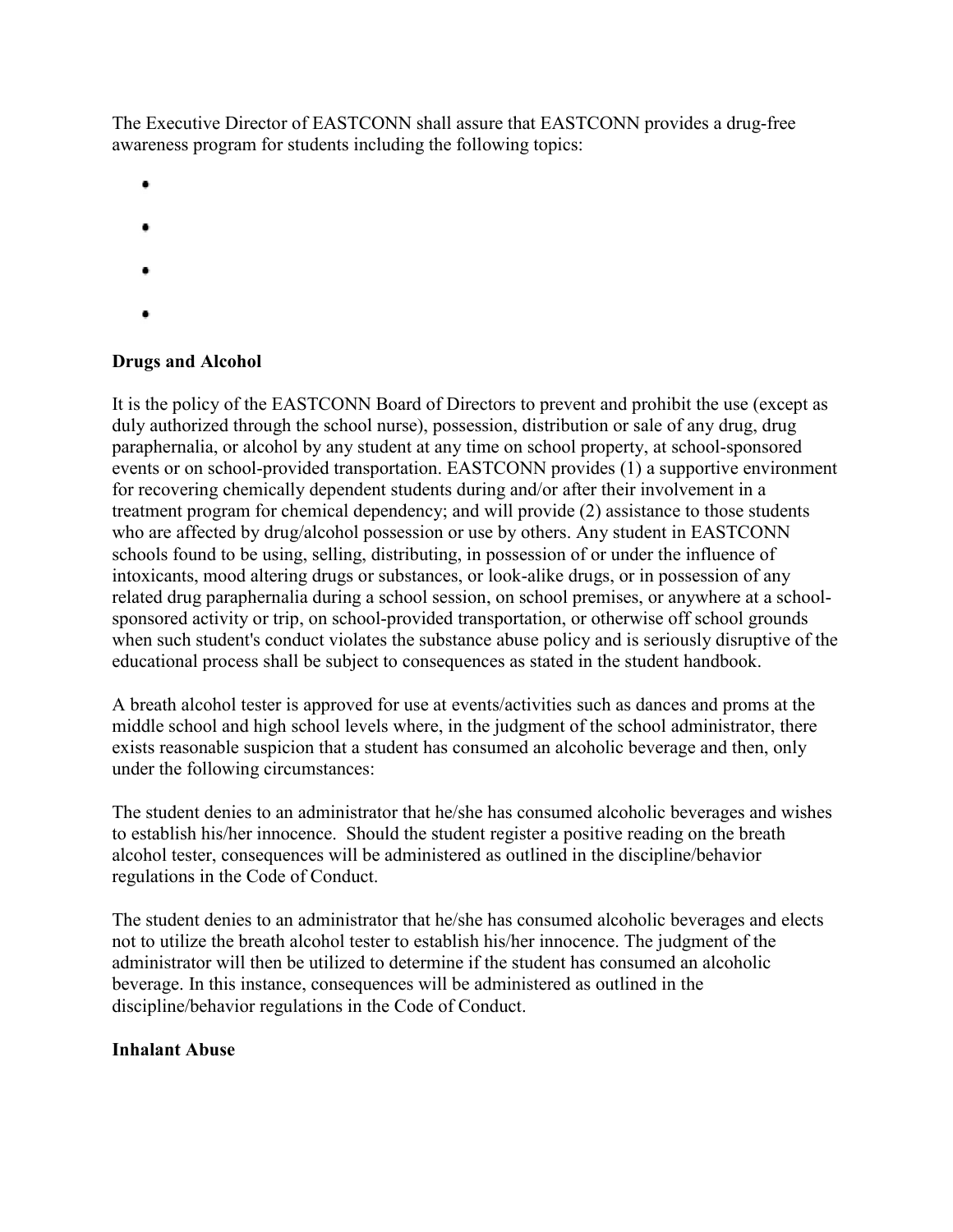The Executive Director of EASTCONN shall assure that EASTCONN provides a drug-free awareness program for students including the following topics:

- 
- 
- ٠
- 
- 
- 

#### **Drugs and Alcohol**

It is the policy of the EASTCONN Board of Directors to prevent and prohibit the use (except as duly authorized through the school nurse), possession, distribution or sale of any drug, drug paraphernalia, or alcohol by any student at any time on school property, at school-sponsored events or on school-provided transportation. EASTCONN provides (1) a supportive environment for recovering chemically dependent students during and/or after their involvement in a treatment program for chemical dependency; and will provide (2) assistance to those students who are affected by drug/alcohol possession or use by others. Any student in EASTCONN schools found to be using, selling, distributing, in possession of or under the influence of intoxicants, mood altering drugs or substances, or look-alike drugs, or in possession of any related drug paraphernalia during a school session, on school premises, or anywhere at a schoolsponsored activity or trip, on school-provided transportation, or otherwise off school grounds when such student's conduct violates the substance abuse policy and is seriously disruptive of the educational process shall be subject to consequences as stated in the student handbook.

A breath alcohol tester is approved for use at events/activities such as dances and proms at the middle school and high school levels where, in the judgment of the school administrator, there exists reasonable suspicion that a student has consumed an alcoholic beverage and then, only under the following circumstances:

The student denies to an administrator that he/she has consumed alcoholic beverages and wishes to establish his/her innocence. Should the student register a positive reading on the breath alcohol tester, consequences will be administered as outlined in the discipline/behavior regulations in the Code of Conduct.

The student denies to an administrator that he/she has consumed alcoholic beverages and elects not to utilize the breath alcohol tester to establish his/her innocence. The judgment of the administrator will then be utilized to determine if the student has consumed an alcoholic beverage. In this instance, consequences will be administered as outlined in the discipline/behavior regulations in the Code of Conduct.

#### **Inhalant Abuse**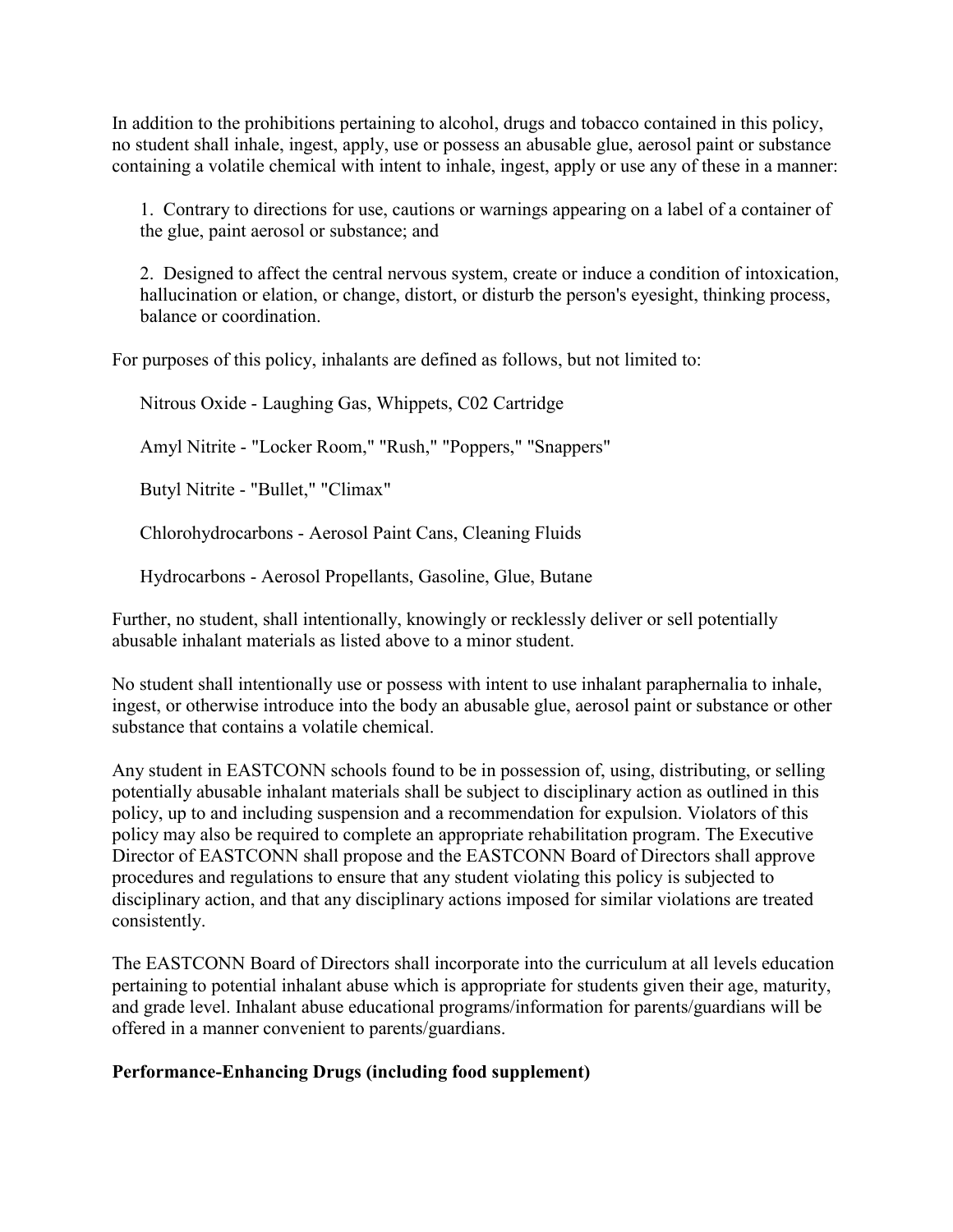In addition to the prohibitions pertaining to alcohol, drugs and tobacco contained in this policy, no student shall inhale, ingest, apply, use or possess an abusable glue, aerosol paint or substance containing a volatile chemical with intent to inhale, ingest, apply or use any of these in a manner:

1. Contrary to directions for use, cautions or warnings appearing on a label of a container of the glue, paint aerosol or substance; and

2. Designed to affect the central nervous system, create or induce a condition of intoxication, hallucination or elation, or change, distort, or disturb the person's eyesight, thinking process, balance or coordination.

For purposes of this policy, inhalants are defined as follows, but not limited to:

Nitrous Oxide - Laughing Gas, Whippets, C02 Cartridge

Amyl Nitrite - "Locker Room," "Rush," "Poppers," "Snappers"

Butyl Nitrite - "Bullet," "Climax"

Chlorohydrocarbons - Aerosol Paint Cans, Cleaning Fluids

Hydrocarbons - Aerosol Propellants, Gasoline, Glue, Butane

Further, no student, shall intentionally, knowingly or recklessly deliver or sell potentially abusable inhalant materials as listed above to a minor student.

No student shall intentionally use or possess with intent to use inhalant paraphernalia to inhale, ingest, or otherwise introduce into the body an abusable glue, aerosol paint or substance or other substance that contains a volatile chemical.

Any student in EASTCONN schools found to be in possession of, using, distributing, or selling potentially abusable inhalant materials shall be subject to disciplinary action as outlined in this policy, up to and including suspension and a recommendation for expulsion. Violators of this policy may also be required to complete an appropriate rehabilitation program. The Executive Director of EASTCONN shall propose and the EASTCONN Board of Directors shall approve procedures and regulations to ensure that any student violating this policy is subjected to disciplinary action, and that any disciplinary actions imposed for similar violations are treated consistently.

The EASTCONN Board of Directors shall incorporate into the curriculum at all levels education pertaining to potential inhalant abuse which is appropriate for students given their age, maturity, and grade level. Inhalant abuse educational programs/information for parents/guardians will be offered in a manner convenient to parents/guardians.

## **Performance-Enhancing Drugs (including food supplement)**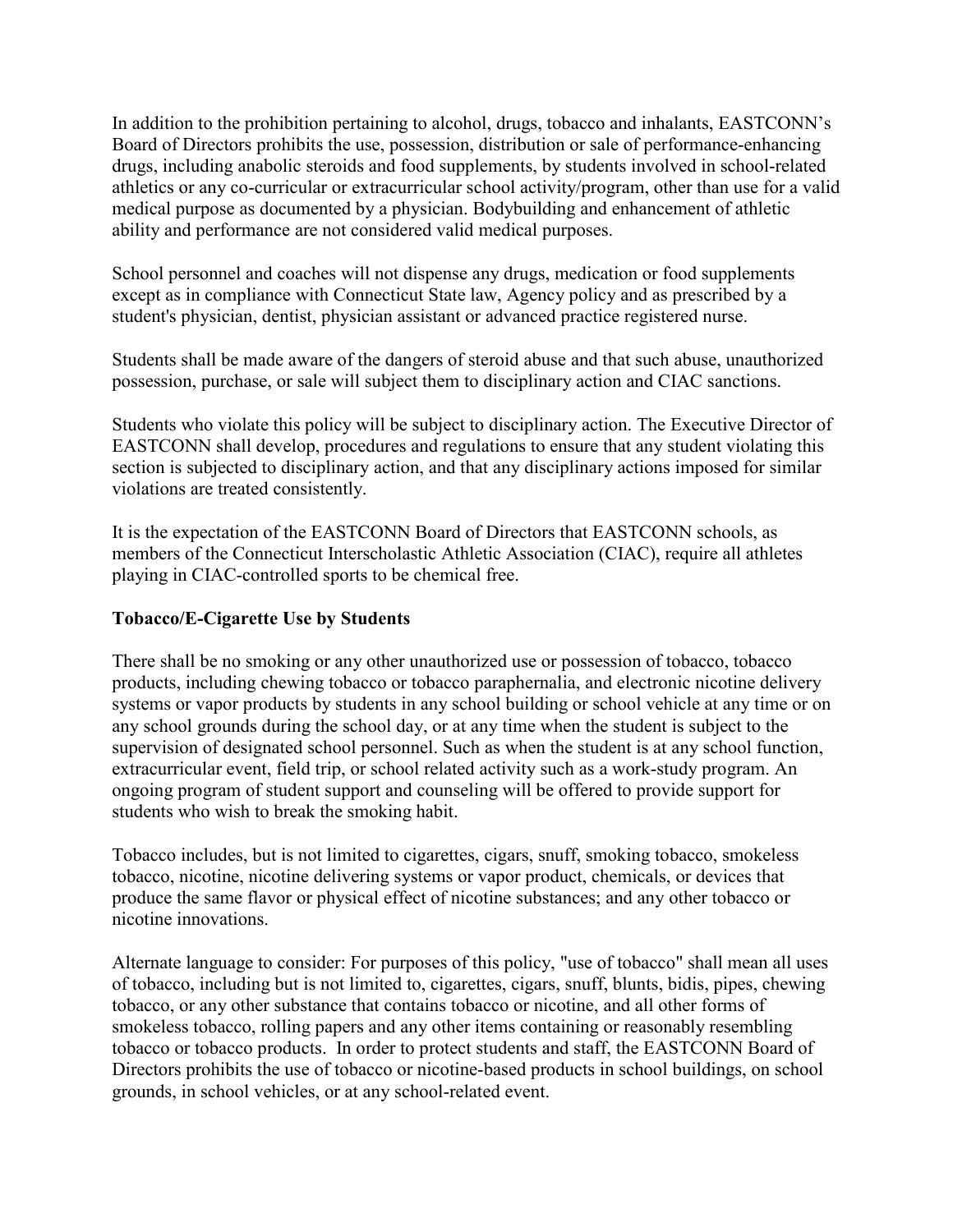In addition to the prohibition pertaining to alcohol, drugs, tobacco and inhalants, EASTCONN's Board of Directors prohibits the use, possession, distribution or sale of performance-enhancing drugs, including anabolic steroids and food supplements, by students involved in school-related athletics or any co-curricular or extracurricular school activity/program, other than use for a valid medical purpose as documented by a physician. Bodybuilding and enhancement of athletic ability and performance are not considered valid medical purposes.

School personnel and coaches will not dispense any drugs, medication or food supplements except as in compliance with Connecticut State law, Agency policy and as prescribed by a student's physician, dentist, physician assistant or advanced practice registered nurse.

Students shall be made aware of the dangers of steroid abuse and that such abuse, unauthorized possession, purchase, or sale will subject them to disciplinary action and CIAC sanctions.

Students who violate this policy will be subject to disciplinary action. The Executive Director of EASTCONN shall develop, procedures and regulations to ensure that any student violating this section is subjected to disciplinary action, and that any disciplinary actions imposed for similar violations are treated consistently.

It is the expectation of the EASTCONN Board of Directors that EASTCONN schools, as members of the Connecticut Interscholastic Athletic Association (CIAC), require all athletes playing in CIAC-controlled sports to be chemical free.

### **Tobacco/E-Cigarette Use by Students**

There shall be no smoking or any other unauthorized use or possession of tobacco, tobacco products, including chewing tobacco or tobacco paraphernalia, and electronic nicotine delivery systems or vapor products by students in any school building or school vehicle at any time or on any school grounds during the school day, or at any time when the student is subject to the supervision of designated school personnel. Such as when the student is at any school function, extracurricular event, field trip, or school related activity such as a work-study program. An ongoing program of student support and counseling will be offered to provide support for students who wish to break the smoking habit.

Tobacco includes, but is not limited to cigarettes, cigars, snuff, smoking tobacco, smokeless tobacco, nicotine, nicotine delivering systems or vapor product, chemicals, or devices that produce the same flavor or physical effect of nicotine substances; and any other tobacco or nicotine innovations.

Alternate language to consider: For purposes of this policy, "use of tobacco" shall mean all uses of tobacco, including but is not limited to, cigarettes, cigars, snuff, blunts, bidis, pipes, chewing tobacco, or any other substance that contains tobacco or nicotine, and all other forms of smokeless tobacco, rolling papers and any other items containing or reasonably resembling tobacco or tobacco products. In order to protect students and staff, the EASTCONN Board of Directors prohibits the use of tobacco or nicotine-based products in school buildings, on school grounds, in school vehicles, or at any school-related event.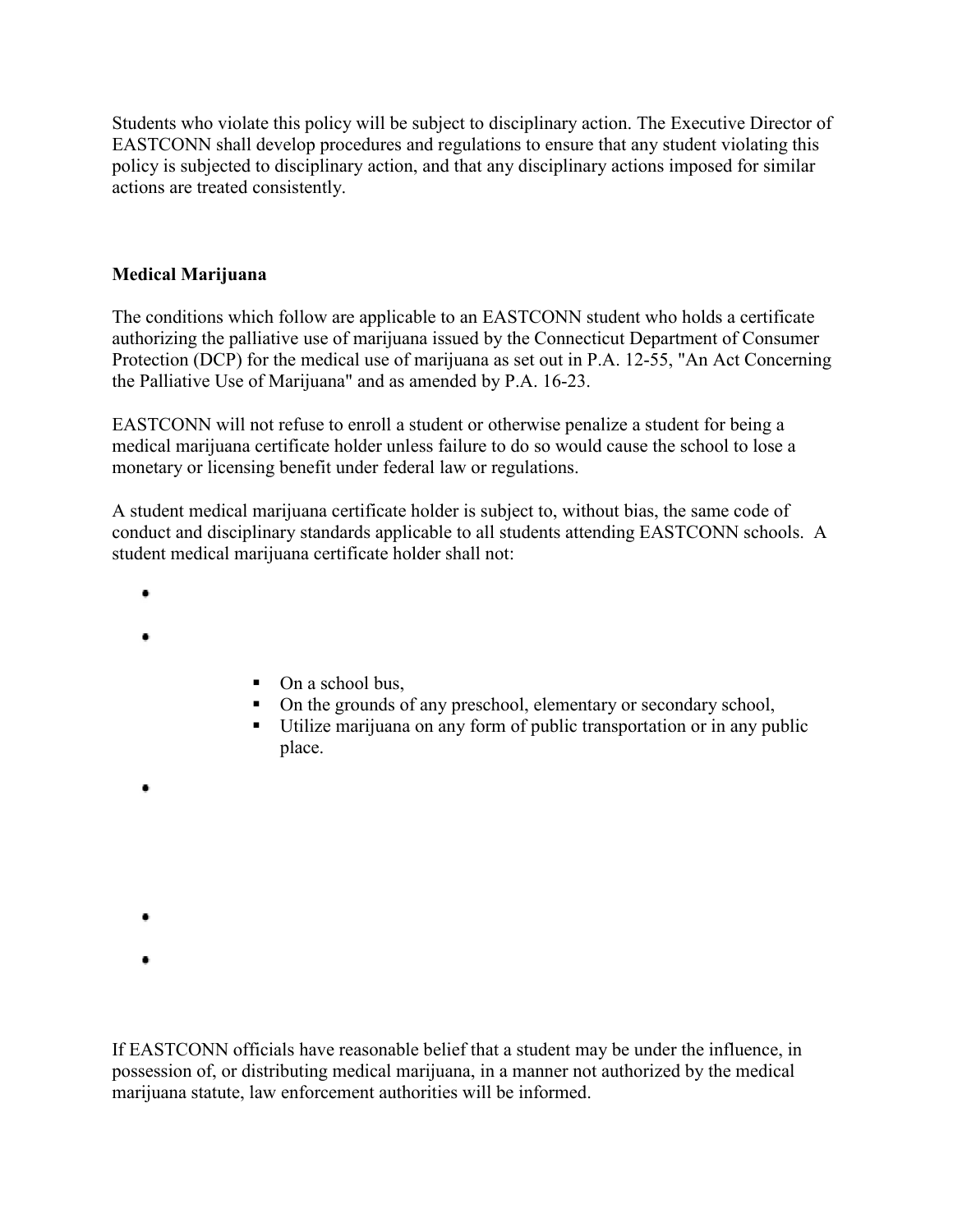Students who violate this policy will be subject to disciplinary action. The Executive Director of EASTCONN shall develop procedures and regulations to ensure that any student violating this policy is subjected to disciplinary action, and that any disciplinary actions imposed for similar actions are treated consistently.

## **Medical Marijuana**

The conditions which follow are applicable to an EASTCONN student who holds a certificate authorizing the palliative use of marijuana issued by the Connecticut Department of Consumer Protection (DCP) for the medical use of marijuana as set out in P.A. 12-55, "An Act Concerning the Palliative Use of Marijuana" and as amended by P.A. 16-23.

EASTCONN will not refuse to enroll a student or otherwise penalize a student for being a medical marijuana certificate holder unless failure to do so would cause the school to lose a monetary or licensing benefit under federal law or regulations.

A student medical marijuana certificate holder is subject to, without bias, the same code of conduct and disciplinary standards applicable to all students attending EASTCONN schools. A student medical marijuana certificate holder shall not:

- ۰
- 
- 
- $\blacksquare$  On a school bus,
- On the grounds of any preschool, elementary or secondary school,
- Utilize marijuana on any form of public transportation or in any public place.

ò

- ō
- 

If EASTCONN officials have reasonable belief that a student may be under the influence, in possession of, or distributing medical marijuana, in a manner not authorized by the medical marijuana statute, law enforcement authorities will be informed.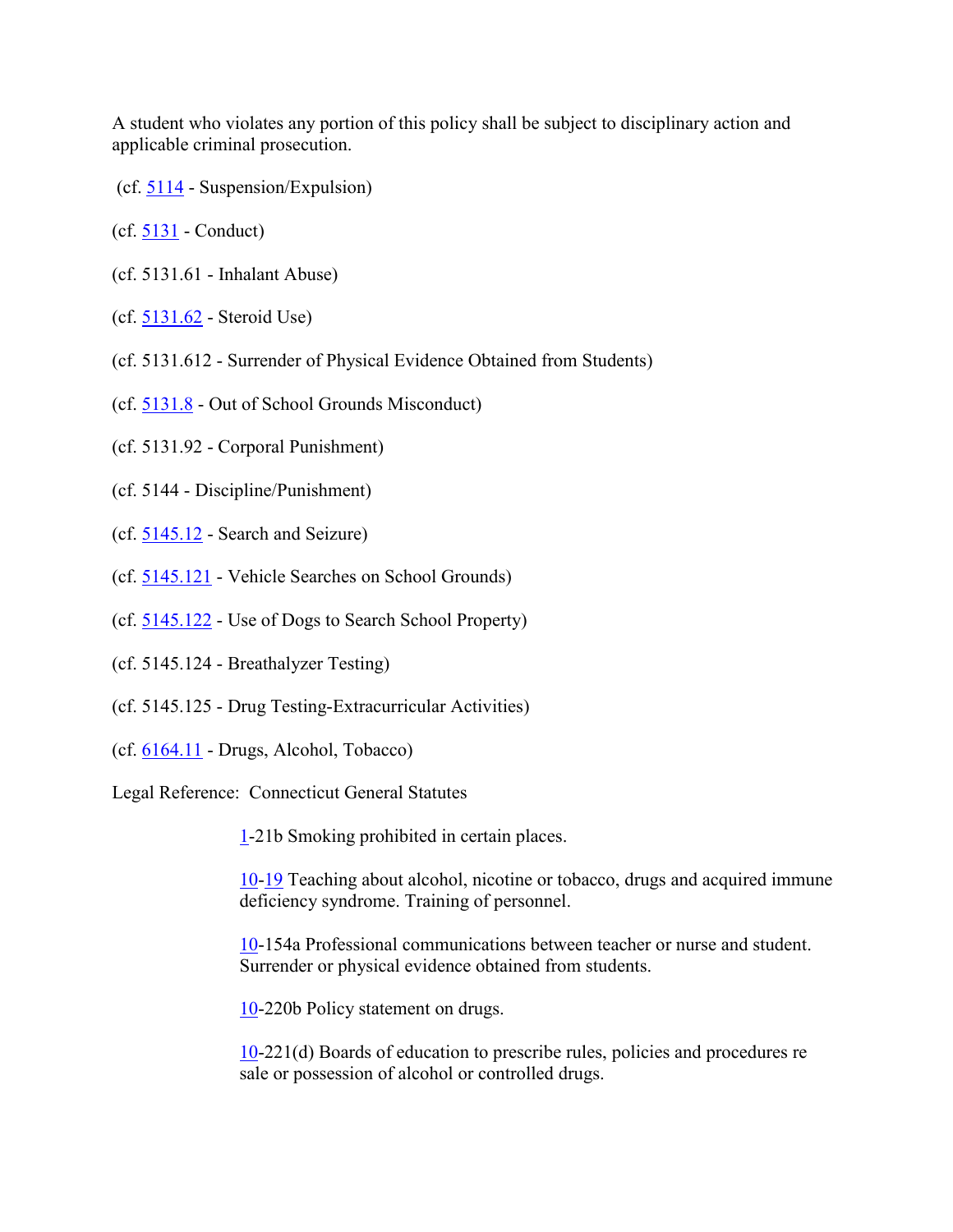A student who violates any portion of this policy shall be subject to disciplinary action and applicable criminal prosecution.

- (cf. [5114](http://z2policy.cabe.org/cabe/DocViewer.jsp?docid=235&z2collection=core#JD_5114) Suspension/Expulsion)
- (cf. [5131](http://z2policy.cabe.org/cabe/DocViewer.jsp?docid=266&z2collection=core#JD_5131) Conduct)
- (cf. 5131.61 Inhalant Abuse)
- (cf. [5131.62](http://z2policy.cabe.org/cabe/DocViewer.jsp?docid=273&z2collection=core#JD_5131.62) Steroid Use)
- (cf. 5131.612 Surrender of Physical Evidence Obtained from Students)
- (cf. [5131.8](http://z2policy.cabe.org/cabe/DocViewer.jsp?docid=275&z2collection=core#JD_5131.8) Out of School Grounds Misconduct)
- (cf. 5131.92 Corporal Punishment)
- (cf. 5144 Discipline/Punishment)
- (cf. [5145.12](http://z2policy.cabe.org/cabe/DocViewer.jsp?docid=324&z2collection=core#JD_5145.12) Search and Seizure)
- (cf. [5145.121](http://z2policy.cabe.org/cabe/DocViewer.jsp?docid=326&z2collection=core#JD_5145.121) Vehicle Searches on School Grounds)
- (cf. [5145.122](http://z2policy.cabe.org/cabe/DocViewer.jsp?docid=327&z2collection=core#JD_5145.122) Use of Dogs to Search School Property)
- (cf. 5145.124 Breathalyzer Testing)
- (cf. 5145.125 Drug Testing-Extracurricular Activities)
- (cf. [6164.11](http://z2policy.cabe.org/cabe/DocViewer.jsp?docid=420&z2collection=core#JD_6164.11) Drugs, Alcohol, Tobacco)

Legal Reference: Connecticut General Statutes

[1-](http://www.cga.ct.gov/2011/pub/Title1.htm)21b Smoking prohibited in certain places.

[10-](http://www.cga.ct.gov/2011/pub/Title10.htm)[19](http://www.cga.ct.gov/2011/pub/Title19.htm) Teaching about alcohol, nicotine or tobacco, drugs and acquired immune deficiency syndrome. Training of personnel.

[10-](http://www.cga.ct.gov/2011/pub/Title10.htm)154a Professional communications between teacher or nurse and student. Surrender or physical evidence obtained from students.

[10-](http://www.cga.ct.gov/2011/pub/Title10.htm)220b Policy statement on drugs.

[10-](http://www.cga.ct.gov/2011/pub/Title10.htm)221(d) Boards of education to prescribe rules, policies and procedures re sale or possession of alcohol or controlled drugs.